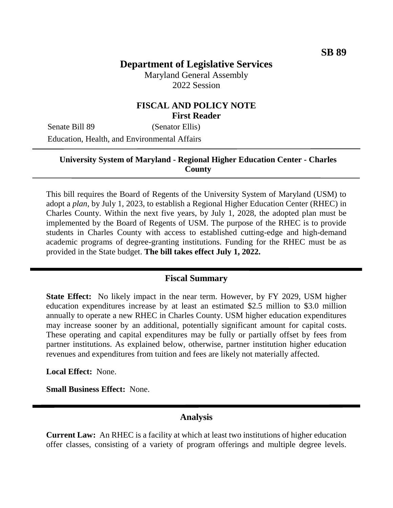# **Department of Legislative Services**

Maryland General Assembly 2022 Session

### **FISCAL AND POLICY NOTE First Reader**

Senate Bill 89 (Senator Ellis)

Education, Health, and Environmental Affairs

### **University System of Maryland - Regional Higher Education Center - Charles County**

This bill requires the Board of Regents of the University System of Maryland (USM) to adopt a *plan,* by July 1, 2023, to establish a Regional Higher Education Center (RHEC) in Charles County. Within the next five years, by July 1, 2028, the adopted plan must be implemented by the Board of Regents of USM. The purpose of the RHEC is to provide students in Charles County with access to established cutting-edge and high-demand academic programs of degree-granting institutions. Funding for the RHEC must be as provided in the State budget. **The bill takes effect July 1, 2022.**

#### **Fiscal Summary**

**State Effect:** No likely impact in the near term. However, by FY 2029, USM higher education expenditures increase by at least an estimated \$2.5 million to \$3.0 million annually to operate a new RHEC in Charles County. USM higher education expenditures may increase sooner by an additional, potentially significant amount for capital costs. These operating and capital expenditures may be fully or partially offset by fees from partner institutions. As explained below, otherwise, partner institution higher education revenues and expenditures from tuition and fees are likely not materially affected.

**Local Effect:** None.

**Small Business Effect:** None.

#### **Analysis**

**Current Law:** An RHEC is a facility at which at least two institutions of higher education offer classes, consisting of a variety of program offerings and multiple degree levels.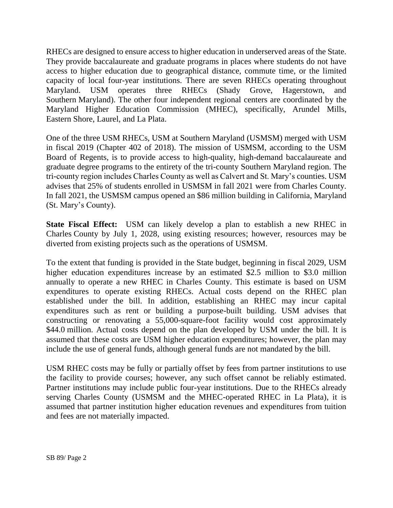RHECs are designed to ensure access to higher education in underserved areas of the State. They provide baccalaureate and graduate programs in places where students do not have access to higher education due to geographical distance, commute time, or the limited capacity of local four-year institutions. There are seven RHECs operating throughout Maryland. USM operates three RHECs (Shady Grove, Hagerstown, and Southern Maryland). The other four independent regional centers are coordinated by the Maryland Higher Education Commission (MHEC), specifically, Arundel Mills, Eastern Shore, Laurel, and La Plata.

One of the three USM RHECs, USM at Southern Maryland (USMSM) merged with USM in fiscal 2019 (Chapter 402 of 2018). The mission of USMSM, according to the USM Board of Regents, is to provide access to high-quality, high-demand baccalaureate and graduate degree programs to the entirety of the tri-county Southern Maryland region. The tri-county region includes Charles County as well as Calvert and St. Mary's counties. USM advises that 25% of students enrolled in USMSM in fall 2021 were from Charles County. In fall 2021, the USMSM campus opened an \$86 million building in California, Maryland (St. Mary's County).

**State Fiscal Effect:** USM can likely develop a plan to establish a new RHEC in Charles County by July 1, 2028, using existing resources; however, resources may be diverted from existing projects such as the operations of USMSM.

To the extent that funding is provided in the State budget, beginning in fiscal 2029, USM higher education expenditures increase by an estimated \$2.5 million to \$3.0 million annually to operate a new RHEC in Charles County. This estimate is based on USM expenditures to operate existing RHECs. Actual costs depend on the RHEC plan established under the bill. In addition, establishing an RHEC may incur capital expenditures such as rent or building a purpose-built building. USM advises that constructing or renovating a 55,000-square-foot facility would cost approximately \$44.0 million. Actual costs depend on the plan developed by USM under the bill. It is assumed that these costs are USM higher education expenditures; however, the plan may include the use of general funds, although general funds are not mandated by the bill.

USM RHEC costs may be fully or partially offset by fees from partner institutions to use the facility to provide courses; however, any such offset cannot be reliably estimated. Partner institutions may include public four-year institutions. Due to the RHECs already serving Charles County (USMSM and the MHEC-operated RHEC in La Plata), it is assumed that partner institution higher education revenues and expenditures from tuition and fees are not materially impacted.